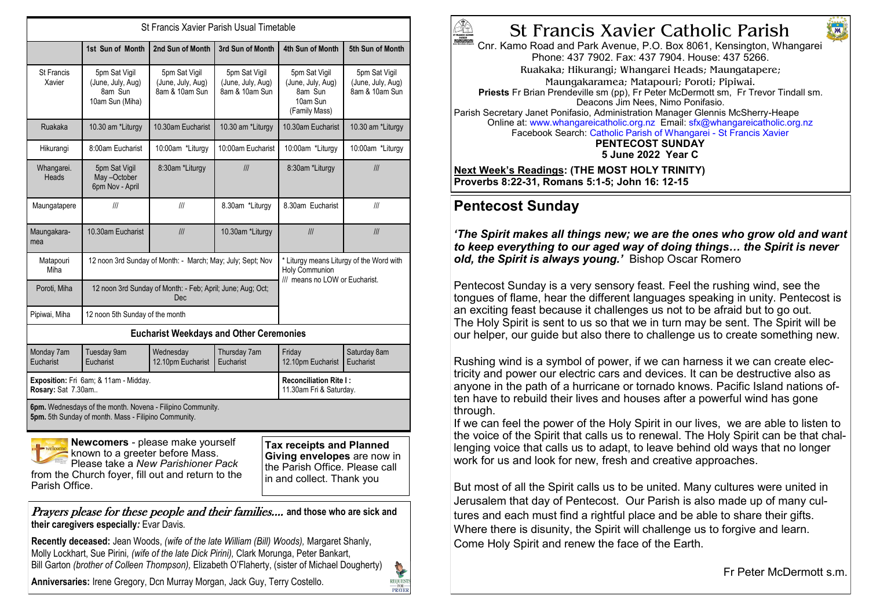| St Francis Xavier Parish Usual Timetable                                                                                                                                                                                                                                                                                     |                                                                   |                                                      |                                                      |                                                                                              |                                                      |
|------------------------------------------------------------------------------------------------------------------------------------------------------------------------------------------------------------------------------------------------------------------------------------------------------------------------------|-------------------------------------------------------------------|------------------------------------------------------|------------------------------------------------------|----------------------------------------------------------------------------------------------|------------------------------------------------------|
|                                                                                                                                                                                                                                                                                                                              | 1st Sun of Month                                                  | 2nd Sun of Month                                     | 3rd Sun of Month                                     | 4th Sun of Month                                                                             | 5th Sun of Month                                     |
| St Francis<br>Xavier                                                                                                                                                                                                                                                                                                         | 5pm Sat Vigil<br>(June, July, Aug)<br>8am Sun<br>10am Sun (Miha)  | 5pm Sat Vigil<br>(June, July, Aug)<br>8am & 10am Sun | 5pm Sat Vigil<br>(June, July, Aug)<br>8am & 10am Sun | 5pm Sat Vigil<br>(June, July, Aug)<br>8am Sun<br>10am Sun<br>(Family Mass)                   | 5pm Sat Vigil<br>(June, July, Aug)<br>8am & 10am Sun |
| Ruakaka                                                                                                                                                                                                                                                                                                                      | 10.30 am *Liturgy                                                 | 10.30am Eucharist                                    | 10.30 am *Liturgy                                    | 10.30am Eucharist                                                                            | 10.30 am *Liturgy                                    |
| Hikurangi                                                                                                                                                                                                                                                                                                                    | 8:00am Eucharist                                                  | 10:00am *Liturgy                                     | 10:00am Eucharist                                    | 10:00am *Liturgy                                                                             | 10:00am *Liturgy                                     |
| Whangarei.<br>Heads                                                                                                                                                                                                                                                                                                          | 5pm Sat Vigil<br>May-October<br>6pm Nov - April                   | 8:30am *Liturgy                                      | III                                                  | 8:30am *Liturgy                                                                              | III                                                  |
| Maungatapere                                                                                                                                                                                                                                                                                                                 | III                                                               | III                                                  | 8.30am *Liturgy                                      | 8.30am Eucharist                                                                             | III                                                  |
| Maungakara-<br>mea                                                                                                                                                                                                                                                                                                           | 10.30am Eucharist                                                 | III                                                  | 10.30am *Liturgy                                     | III                                                                                          | III                                                  |
| Matapouri<br>Miha                                                                                                                                                                                                                                                                                                            | 12 noon 3rd Sunday of Month: - March; May; July; Sept; Nov        |                                                      |                                                      | * Liturgy means Liturgy of the Word with<br>Holy Communion<br>/// means no LOW or Eucharist. |                                                      |
| Poroti, Miha                                                                                                                                                                                                                                                                                                                 | 12 noon 3rd Sunday of Month: - Feb; April; June; Aug; Oct;<br>Dec |                                                      |                                                      |                                                                                              |                                                      |
| Pipiwai, Miha                                                                                                                                                                                                                                                                                                                | 12 noon 5th Sunday of the month                                   |                                                      |                                                      |                                                                                              |                                                      |
| <b>Eucharist Weekdays and Other Ceremonies</b>                                                                                                                                                                                                                                                                               |                                                                   |                                                      |                                                      |                                                                                              |                                                      |
| Monday 7am<br>Eucharist                                                                                                                                                                                                                                                                                                      | Tuesday 9am<br>Eucharist                                          | Wednesday<br>12.10pm Eucharist                       | Thursday 7am<br>Eucharist                            | Friday<br>12.10pm Eucharist                                                                  | Saturday 8am<br>Eucharist                            |
| Exposition: Fri 6am; & 11am - Midday.<br>Rosary: Sat 7.30am                                                                                                                                                                                                                                                                  |                                                                   |                                                      |                                                      | <b>Reconciliation Rite I:</b><br>11.30am Fri & Saturday.                                     |                                                      |
| 6pm. Wednesdays of the month. Novena - Filipino Community.<br>5pm. 5th Sunday of month. Mass - Filipino Community.                                                                                                                                                                                                           |                                                                   |                                                      |                                                      |                                                                                              |                                                      |
| Newcomers - please make yourself<br><b>Tax receipts and Planned</b><br>welcome<br>known to a greeter before Mass.<br>Giving envelopes are now in<br>Please take a New Parishioner Pack<br>the Parish Office. Please call<br>from the Church foyer, fill out and return to the<br>in and collect. Thank you<br>Parish Office. |                                                                   |                                                      |                                                      |                                                                                              |                                                      |

Prayers please for these people and their families.... **and those who are sick and their caregivers especially***:* Evar Davis*.*

**Recently deceased:** Jean Woods, *(wife of the late William (Bill) Woods),* Margaret Shanly, Molly Lockhart, Sue Pirini*, (wife of the late Dick Pirini),* Clark Morunga, Peter Bankart, Bill Garton *(brother of Colleen Thompson),* Elizabeth O'Flaherty, (sister of Michael Dougherty)

**Anniversaries:** Irene Gregory, Dcn Murray Morgan, Jack Guy, Terry Costello.



**CONTRACTOR**  $\begin{array}{l} \begin{array}{c} \text{REQUESTS} \\ \text{FOR} \end{array} \\ \hline \begin{array}{c} \text{PRAYER} \end{array} \end{array}$ 

## St Francis Xavier Catholic Parish

Cnr. Kamo Road and Park Avenue, P.O. Box 8061, Kensington, Whangarei Phone: 437 7902. Fax: 437 7904. House: 437 5266. Ruakaka; Hikurangi; Whangarei Heads; Maungatapere; Maungakaramea; Matapouri; Poroti; Pipiwai. **Priests** Fr Brian Prendeville sm (pp), Fr Peter McDermott sm, Fr Trevor Tindall sm. Deacons Jim Nees, Nimo Ponifasio. Parish Secretary Janet Ponifasio, Administration Manager Glennis McSherry-Heape Online at: www.whangareicatholic.org.nz Email: sfx@whangareicatholic.org.nz Facebook Search: Catholic Parish of Whangarei - St Francis Xavier **PENTECOST SUNDAY 5 June 2022 Year C**

**Next Week's Readings: (THE MOST HOLY TRINITY) Proverbs 8:22-31, Romans 5:1-5; John 16: 12-15**

## **Pentecost Sunday**

*'The Spirit makes all things new; we are the ones who grow old and want to keep everything to our aged way of doing things… the Spirit is never old, the Spirit is always young.'* Bishop Oscar Romero

Pentecost Sunday is a very sensory feast. Feel the rushing wind, see the tongues of flame, hear the different languages speaking in unity. Pentecost is an exciting feast because it challenges us not to be afraid but to go out. The Holy Spirit is sent to us so that we in turn may be sent. The Spirit will be our helper, our guide but also there to challenge us to create something new.

Rushing wind is a symbol of power, if we can harness it we can create electricity and power our electric cars and devices. It can be destructive also as anyone in the path of a hurricane or tornado knows. Pacific Island nations often have to rebuild their lives and houses after a powerful wind has gone through.

If we can feel the power of the Holy Spirit in our lives, we are able to listen to the voice of the Spirit that calls us to renewal. The Holy Spirit can be that challenging voice that calls us to adapt, to leave behind old ways that no longer work for us and look for new, fresh and creative approaches.

But most of all the Spirit calls us to be united. Many cultures were united in Jerusalem that day of Pentecost. Our Parish is also made up of many cultures and each must find a rightful place and be able to share their gifts. Where there is disunity, the Spirit will challenge us to forgive and learn. Come Holy Spirit and renew the face of the Earth.

Fr Peter McDermott s.m.

**M**